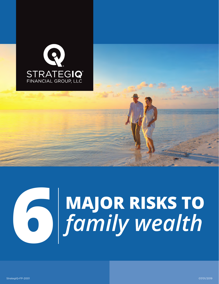

## **MAJOR RISKS TO 6***family wealth*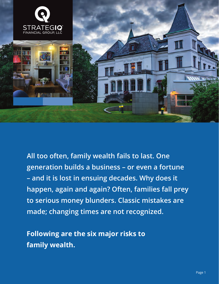

**All too often, family wealth fails to last. One generation builds a business – or even a fortune – and it is lost in ensuing decades. Why does it happen, again and again? Often, families fall prey to serious money blunders. Classic mistakes are made; changing times are not recognized.**

**Following are the six major risks to family wealth.**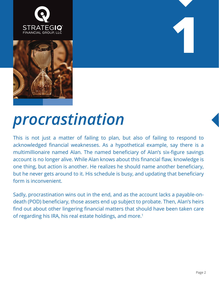



## *procrastination*

This is not just a matter of failing to plan, but also of failing to respond to acknowledged financial weaknesses. As a hypothetical example, say there is a multimillionaire named Alan. The named beneficiary of Alan's six-figure savings account is no longer alive. While Alan knows about this financial flaw, knowledge is one thing, but action is another. He realizes he should name another beneficiary, but he never gets around to it. His schedule is busy, and updating that beneficiary form is inconvenient.

Sadly, procrastination wins out in the end, and as the account lacks a payable-ondeath (POD) beneficiary, those assets end up subject to probate. Then, Alan's heirs find out about other lingering financial matters that should have been taken care of regarding his IRA, his real estate holdings, and more.<sup>1</sup>

**1**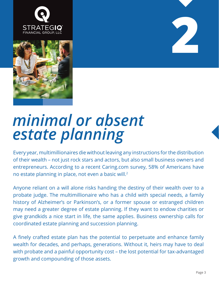





### *minimal or absent estate planning*

Every year, multimillionaires die without leaving any instructions for the distribution of their wealth – not just rock stars and actors, but also small business owners and entrepreneurs. According to a recent Caring.com survey, 58% of Americans have no estate planning in place, not even a basic will.<sup>2</sup>

Anyone reliant on a will alone risks handing the destiny of their wealth over to a probate judge. The multimillionaire who has a child with special needs, a family history of Alzheimer's or Parkinson's, or a former spouse or estranged children may need a greater degree of estate planning. If they want to endow charities or give grandkids a nice start in life, the same applies. Business ownership calls for coordinated estate planning and succession planning.

A finely crafted estate plan has the potential to perpetuate and enhance family wealth for decades, and perhaps, generations. Without it, heirs may have to deal with probate and a painful opportunity cost – the lost potential for tax-advantaged growth and compounding of those assets.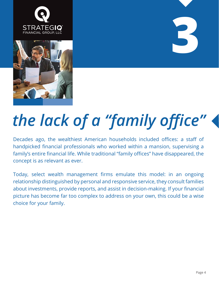





## *the lack of a "family office"*

Decades ago, the wealthiest American households included offices: a staff of handpicked financial professionals who worked within a mansion, supervising a family's entire financial life. While traditional "family offices" have disappeared, the concept is as relevant as ever.

Today, select wealth management firms emulate this model: in an ongoing relationship distinguished by personal and responsive service, they consult families about investments, provide reports, and assist in decision-making. If your financial picture has become far too complex to address on your own, this could be a wise choice for your family.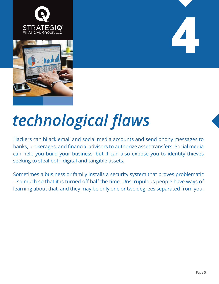



# **4**

## *technological flaws*

Hackers can hijack email and social media accounts and send phony messages to banks, brokerages, and financial advisors to authorize asset transfers. Social media can help you build your business, but it can also expose you to identity thieves seeking to steal both digital and tangible assets.

Sometimes a business or family installs a security system that proves problematic – so much so that it is turned off half the time. Unscrupulous people have ways of learning about that, and they may be only one or two degrees separated from you.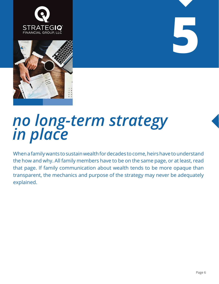



### *no long-term strategy in place*

When a family wants to sustain wealth for decades to come, heirs have to understand the how and why. All family members have to be on the same page, or at least, read that page. If family communication about wealth tends to be more opaque than transparent, the mechanics and purpose of the strategy may never be adequately explained.

**5**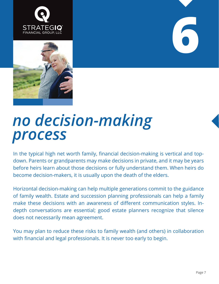





#### *no decision-making process*

In the typical high net worth family, financial decision-making is vertical and topdown. Parents or grandparents may make decisions in private, and it may be years before heirs learn about those decisions or fully understand them. When heirs do become decision-makers, it is usually upon the death of the elders.

Horizontal decision-making can help multiple generations commit to the guidance of family wealth. Estate and succession planning professionals can help a family make these decisions with an awareness of different communication styles. Indepth conversations are essential; good estate planners recognize that silence does not necessarily mean agreement.

You may plan to reduce these risks to family wealth (and others) in collaboration with financial and legal professionals. It is never too early to begin.